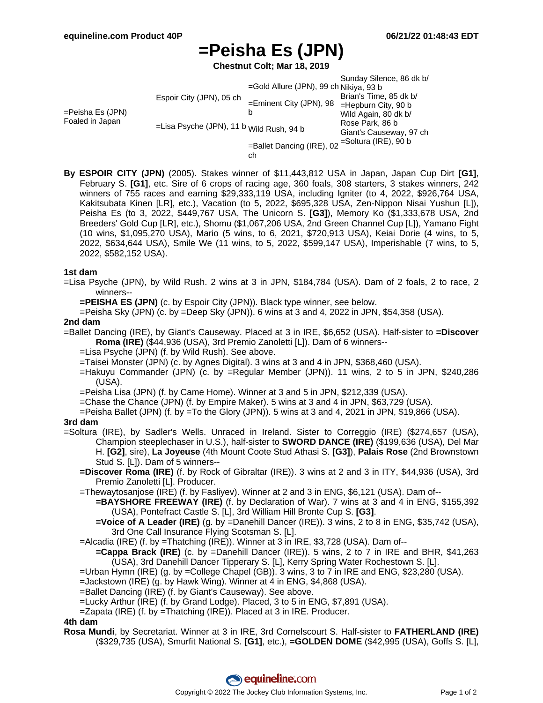# **=Peisha Es (JPN)**

**Chestnut Colt; Mar 18, 2019**

=Peisha Es (JPN) Foaled in Japan Espoir City (JPN), 05 ch =Lisa Psyche (JPN), 11 b Wild Rush, 94 b =Gold Allure (JPN), 99 ch Nikiya, 93 b =Eminent City (JPN), 98 b =Ballet Dancing (IRE), 02 =Soltura (IRE), 90 b Sunday Silence, 86 dk b/ Brian's Time, 85 dk b/ =Hepburn City, 90 b Wild Again, 80 dk b/ Rose Park, 86 b Giant's Causeway, 97 ch

ch

**By ESPOIR CITY (JPN)** (2005). Stakes winner of \$11,443,812 USA in Japan, Japan Cup Dirt **[G1]**, February S. **[G1]**, etc. Sire of 6 crops of racing age, 360 foals, 308 starters, 3 stakes winners, 242 winners of 755 races and earning \$29,333,119 USA, including Igniter (to 4, 2022, \$926,764 USA, Kakitsubata Kinen [LR], etc.), Vacation (to 5, 2022, \$695,328 USA, Zen-Nippon Nisai Yushun [L]), Peisha Es (to 3, 2022, \$449,767 USA, The Unicorn S. **[G3]**), Memory Ko (\$1,333,678 USA, 2nd Breeders' Gold Cup [LR], etc.), Shomu (\$1,067,206 USA, 2nd Green Channel Cup [L]), Yamano Fight (10 wins, \$1,095,270 USA), Mario (5 wins, to 6, 2021, \$720,913 USA), Keiai Dorie (4 wins, to 5, 2022, \$634,644 USA), Smile We (11 wins, to 5, 2022, \$599,147 USA), Imperishable (7 wins, to 5, 2022, \$582,152 USA).

## **1st dam**

=Lisa Psyche (JPN), by Wild Rush. 2 wins at 3 in JPN, \$184,784 (USA). Dam of 2 foals, 2 to race, 2 winners--

**=PEISHA ES (JPN)** (c. by Espoir City (JPN)). Black type winner, see below.

=Peisha Sky (JPN) (c. by =Deep Sky (JPN)). 6 wins at 3 and 4, 2022 in JPN, \$54,358 (USA).

#### **2nd dam**

=Ballet Dancing (IRE), by Giant's Causeway. Placed at 3 in IRE, \$6,652 (USA). Half-sister to **=Discover Roma (IRE)** (\$44,936 (USA), 3rd Premio Zanoletti [L]). Dam of 6 winners--

=Lisa Psyche (JPN) (f. by Wild Rush). See above.

=Taisei Monster (JPN) (c. by Agnes Digital). 3 wins at 3 and 4 in JPN, \$368,460 (USA).

=Hakuyu Commander (JPN) (c. by =Regular Member (JPN)). 11 wins, 2 to 5 in JPN, \$240,286 (USA).

=Peisha Lisa (JPN) (f. by Came Home). Winner at 3 and 5 in JPN, \$212,339 (USA).

- =Chase the Chance (JPN) (f. by Empire Maker). 5 wins at 3 and 4 in JPN, \$63,729 (USA).
- =Peisha Ballet (JPN) (f. by =To the Glory (JPN)). 5 wins at 3 and 4, 2021 in JPN, \$19,866 (USA).

#### **3rd dam**

=Soltura (IRE), by Sadler's Wells. Unraced in Ireland. Sister to Correggio (IRE) (\$274,657 (USA), Champion steeplechaser in U.S.), half-sister to **SWORD DANCE (IRE)** (\$199,636 (USA), Del Mar H. **[G2]**, sire), **La Joyeuse** (4th Mount Coote Stud Athasi S. **[G3]**), **Palais Rose** (2nd Brownstown Stud S. [L]). Dam of 5 winners--

- **=Discover Roma (IRE)** (f. by Rock of Gibraltar (IRE)). 3 wins at 2 and 3 in ITY, \$44,936 (USA), 3rd Premio Zanoletti [L]. Producer.
- =Thewaytosanjose (IRE) (f. by Fasliyev). Winner at 2 and 3 in ENG, \$6,121 (USA). Dam of--
	- **=BAYSHORE FREEWAY (IRE)** (f. by Declaration of War). 7 wins at 3 and 4 in ENG, \$155,392 (USA), Pontefract Castle S. [L], 3rd William Hill Bronte Cup S. **[G3]**.
	- **=Voice of A Leader (IRE)** (g. by =Danehill Dancer (IRE)). 3 wins, 2 to 8 in ENG, \$35,742 (USA), 3rd One Call Insurance Flying Scotsman S. [L].
- =Alcadia (IRE) (f. by =Thatching (IRE)). Winner at 3 in IRE, \$3,728 (USA). Dam of--
	- **=Cappa Brack (IRE)** (c. by =Danehill Dancer (IRE)). 5 wins, 2 to 7 in IRE and BHR, \$41,263 (USA), 3rd Danehill Dancer Tipperary S. [L], Kerry Spring Water Rochestown S. [L].
- =Urban Hymn (IRE) (g. by =College Chapel (GB)). 3 wins, 3 to 7 in IRE and ENG, \$23,280 (USA).
- =Jackstown (IRE) (g. by Hawk Wing). Winner at 4 in ENG, \$4,868 (USA).
- =Ballet Dancing (IRE) (f. by Giant's Causeway). See above.
- =Lucky Arthur (IRE) (f. by Grand Lodge). Placed, 3 to 5 in ENG, \$7,891 (USA).
- =Zapata (IRE) (f. by =Thatching (IRE)). Placed at 3 in IRE. Producer.

## **4th dam**

**Rosa Mundi**, by Secretariat. Winner at 3 in IRE, 3rd Cornelscourt S. Half-sister to **FATHERLAND (IRE)** (\$329,735 (USA), Smurfit National S. **[G1]**, etc.), **=GOLDEN DOME** (\$42,995 (USA), Goffs S. [L],